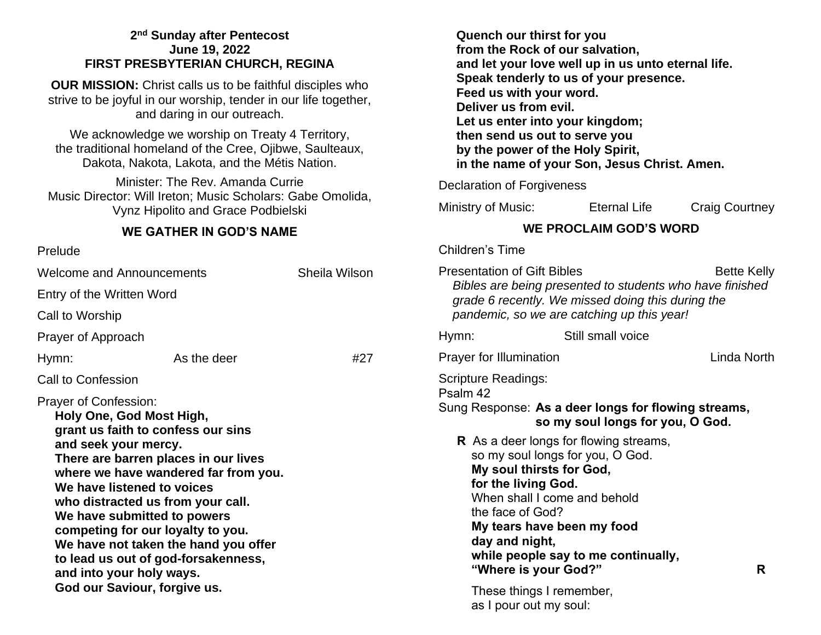#### **2 nd Sunday after Pentecost June 19, 2022 FIRST PRESBYTERIAN CHURCH, REGINA**

**OUR MISSION:** Christ calls us to be faithful disciples who strive to be joyful in our worship, tender in our life together, and daring in our outreach.

We acknowledge we worship on Treaty 4 Territory, the traditional homeland of the Cree, Ojibwe, Saulteaux, Dakota, Nakota, Lakota, and the Métis Nation.

Minister: The Rev. Amanda Currie Music Director: Will Ireton; Music Scholars: Gabe Omolida, Vynz Hipolito and Grace Podbielski

#### **WE GATHER IN GOD'S NAME**

| Prelude                                                                                                                                                                                                                                                                                                                                                                                                                                                                                  |                           |               |  |
|------------------------------------------------------------------------------------------------------------------------------------------------------------------------------------------------------------------------------------------------------------------------------------------------------------------------------------------------------------------------------------------------------------------------------------------------------------------------------------------|---------------------------|---------------|--|
| Welcome and Announcements                                                                                                                                                                                                                                                                                                                                                                                                                                                                |                           | Sheila Wilson |  |
|                                                                                                                                                                                                                                                                                                                                                                                                                                                                                          | Entry of the Written Word |               |  |
| Call to Worship                                                                                                                                                                                                                                                                                                                                                                                                                                                                          |                           |               |  |
| Prayer of Approach                                                                                                                                                                                                                                                                                                                                                                                                                                                                       |                           |               |  |
| Hymn:                                                                                                                                                                                                                                                                                                                                                                                                                                                                                    | As the deer               | #27           |  |
| Call to Confession                                                                                                                                                                                                                                                                                                                                                                                                                                                                       |                           |               |  |
| <b>Prayer of Confession:</b><br>Holy One, God Most High,<br>grant us faith to confess our sins<br>and seek your mercy.<br>There are barren places in our lives<br>where we have wandered far from you.<br>We have listened to voices<br>who distracted us from your call.<br>We have submitted to powers<br>competing for our loyalty to you.<br>We have not taken the hand you offer<br>to lead us out of god-forsakenness,<br>and into your holy ways.<br>God our Saviour, forgive us. |                           |               |  |

|                                                                                                                                   | <b>Quench our thirst for you</b><br>Feed us with your word.<br>Deliver us from evil.                                                                                | from the Rock of our salvation,<br>and let your love well up in us unto eternal life.<br>Speak tenderly to us of your presence.<br>Let us enter into your kingdom;<br>then send us out to serve you<br>by the power of the Holy Spirit,<br>in the name of your Son, Jesus Christ. Amen. |                                                                                |
|-----------------------------------------------------------------------------------------------------------------------------------|---------------------------------------------------------------------------------------------------------------------------------------------------------------------|-----------------------------------------------------------------------------------------------------------------------------------------------------------------------------------------------------------------------------------------------------------------------------------------|--------------------------------------------------------------------------------|
|                                                                                                                                   | <b>Declaration of Forgiveness</b>                                                                                                                                   |                                                                                                                                                                                                                                                                                         |                                                                                |
| Ministry of Music:                                                                                                                |                                                                                                                                                                     | Eternal Life                                                                                                                                                                                                                                                                            | <b>Craig Courtney</b>                                                          |
| <b>WE PROCLAIM GOD'S WORD</b>                                                                                                     |                                                                                                                                                                     |                                                                                                                                                                                                                                                                                         |                                                                                |
| <b>Children's Time</b>                                                                                                            |                                                                                                                                                                     |                                                                                                                                                                                                                                                                                         |                                                                                |
|                                                                                                                                   | <b>Presentation of Gift Bibles</b>                                                                                                                                  | grade 6 recently. We missed doing this during the<br>pandemic, so we are catching up this year!                                                                                                                                                                                         | <b>Bette Kelly</b><br>Bibles are being presented to students who have finished |
| Hymn:                                                                                                                             |                                                                                                                                                                     | Still small voice                                                                                                                                                                                                                                                                       |                                                                                |
| <b>Prayer for Illumination</b>                                                                                                    |                                                                                                                                                                     | Linda North                                                                                                                                                                                                                                                                             |                                                                                |
| <b>Scripture Readings:</b><br>Psalm 42<br>Sung Response: As a deer longs for flowing streams,<br>so my soul longs for you, O God. |                                                                                                                                                                     |                                                                                                                                                                                                                                                                                         |                                                                                |
|                                                                                                                                   | My soul thirsts for God,<br>for the living God.<br>the face of God?<br>day and night,<br>"Where is your God?"<br>These things I remember,<br>as I pour out my soul: | <b>R</b> As a deer longs for flowing streams,<br>so my soul longs for you, O God.<br>When shall I come and behold<br>My tears have been my food<br>while people say to me continually,                                                                                                  | R                                                                              |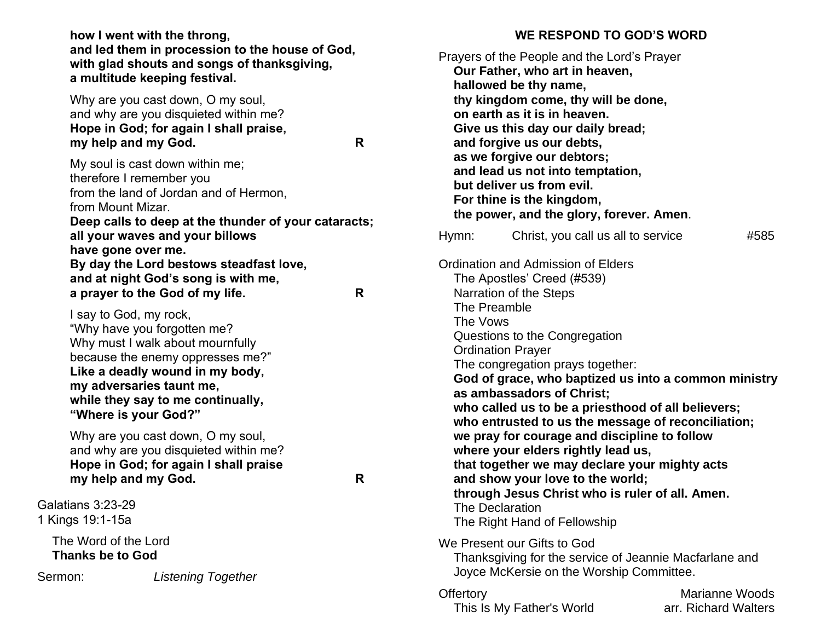**how I went with the throng, and led them in procession to the house of God, with glad shouts and songs of thanksgiving, a multitude keeping festival.**

Why are you cast down, O my soul, and why are you disquieted within me? **Hope in God; for again I shall praise, my help and my God. R**

My soul is cast down within me; therefore I remember you from the land of Jordan and of Hermon, from Mount Mizar. **Deep calls to deep at the thunder of your cataracts; all your waves and your billows have gone over me. By day the Lord bestows steadfast love, and at night God's song is with me, a prayer to the God of my life. R**

I say to God, my rock, "Why have you forgotten me? Why must I walk about mournfully because the enemy oppresses me?" **Like a deadly wound in my body, my adversaries taunt me, while they say to me continually, "Where is your God?"**

Why are you cast down, O my soul, and why are you disquieted within me? **Hope in God; for again I shall praise my help and my God. R**

Galatians 3:23-29 1 Kings 19:1-15a

> The Word of the Lord **Thanks be to God**

Sermon: *Listening Together*

### **WE RESPOND TO GOD'S WORD**

|                          | Prayers of the People and the Lord's Prayer<br>Our Father, who art in heaven,<br>hallowed be thy name,<br>thy kingdom come, thy will be done,<br>on earth as it is in heaven.<br>Give us this day our daily bread;<br>and forgive us our debts,<br>as we forgive our debtors;<br>and lead us not into temptation,<br>but deliver us from evil.<br>For thine is the kingdom,<br>the power, and the glory, forever. Amen. |                                                                                                                                                                                                                                                                                                                      |      |
|--------------------------|-------------------------------------------------------------------------------------------------------------------------------------------------------------------------------------------------------------------------------------------------------------------------------------------------------------------------------------------------------------------------------------------------------------------------|----------------------------------------------------------------------------------------------------------------------------------------------------------------------------------------------------------------------------------------------------------------------------------------------------------------------|------|
| Hymn:                    | Christ, you call us all to service                                                                                                                                                                                                                                                                                                                                                                                      |                                                                                                                                                                                                                                                                                                                      | #585 |
| The Preamble<br>The Vows | Ordination and Admission of Elders<br>The Apostles' Creed (#539)<br>Narration of the Steps<br>Questions to the Congregation<br><b>Ordination Prayer</b><br>The congregation prays together:<br>as ambassadors of Christ;<br>where your elders rightly lead us,<br>and show your love to the world;<br>The Declaration<br>The Right Hand of Fellowship                                                                   | God of grace, who baptized us into a common ministry<br>who called us to be a priesthood of all believers;<br>who entrusted to us the message of reconciliation;<br>we pray for courage and discipline to follow<br>that together we may declare your mighty acts<br>through Jesus Christ who is ruler of all. Amen. |      |
|                          | We Present our Gifts to God<br>Joyce McKersie on the Worship Committee.                                                                                                                                                                                                                                                                                                                                                 | Thanksgiving for the service of Jeannie Macfarlane and                                                                                                                                                                                                                                                               |      |
| Offertory                | This Is My Father's World                                                                                                                                                                                                                                                                                                                                                                                               | Marianne Woods<br>arr. Richard Walters                                                                                                                                                                                                                                                                               |      |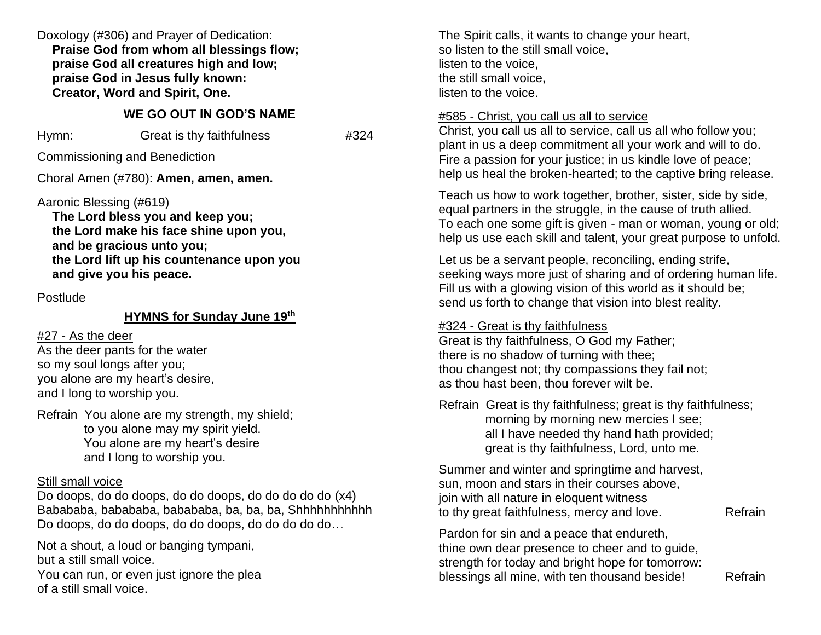Doxology (#306) and Prayer of Dedication: **Praise God from whom all blessings flow; praise God all creatures high and low; praise God in Jesus fully known: Creator, Word and Spirit, One.**

### **WE GO OUT IN GOD'S NAME**

| Hymn: | Great is thy faithfulness | #324 |
|-------|---------------------------|------|
|-------|---------------------------|------|

Commissioning and Benediction

Choral Amen (#780): **Amen, amen, amen.**

Aaronic Blessing (#619)

**The Lord bless you and keep you; the Lord make his face shine upon you, and be gracious unto you; the Lord lift up his countenance upon you and give you his peace.**

#### Postlude

## **HYMNS for Sunday June 19 th**

### #27 - As the deer

As the deer pants for the water so my soul longs after you; you alone are my heart's desire, and I long to worship you.

Refrain You alone are my strength, my shield; to you alone may my spirit yield. You alone are my heart's desire and I long to worship you.

### Still small voice

Do doops, do do doops, do do doops, do do do do do (x4) Babababa, babababa, babababa, ba, ba, ba, Shhhhhhhhhhh Do doops, do do doops, do do doops, do do do do do…

Not a shout, a loud or banging tympani, but a still small voice. You can run, or even just ignore the plea of a still small voice.

The Spirit calls, it wants to change your heart, so listen to the still small voice, listen to the voice, the still small voice, listen to the voice.

## #585 - Christ, you call us all to service

Christ, you call us all to service, call us all who follow you; plant in us a deep commitment all your work and will to do. Fire a passion for your justice; in us kindle love of peace; help us heal the broken-hearted; to the captive bring release.

Teach us how to work together, brother, sister, side by side, equal partners in the struggle, in the cause of truth allied. To each one some gift is given - man or woman, young or old; help us use each skill and talent, your great purpose to unfold.

Let us be a servant people, reconciling, ending strife, seeking ways more just of sharing and of ordering human life. Fill us with a glowing vision of this world as it should be; send us forth to change that vision into blest reality.

## #324 - Great is thy faithfulness

Great is thy faithfulness, O God my Father; there is no shadow of turning with thee; thou changest not; thy compassions they fail not; as thou hast been, thou forever wilt be.

Refrain Great is thy faithfulness; great is thy faithfulness; morning by morning new mercies I see; all I have needed thy hand hath provided; great is thy faithfulness, Lord, unto me.

Summer and winter and springtime and harvest, sun, moon and stars in their courses above, join with all nature in eloquent witness to thy great faithfulness, mercy and love. Refrain

Pardon for sin and a peace that endureth, thine own dear presence to cheer and to guide, strength for today and bright hope for tomorrow: blessings all mine, with ten thousand beside! Refrain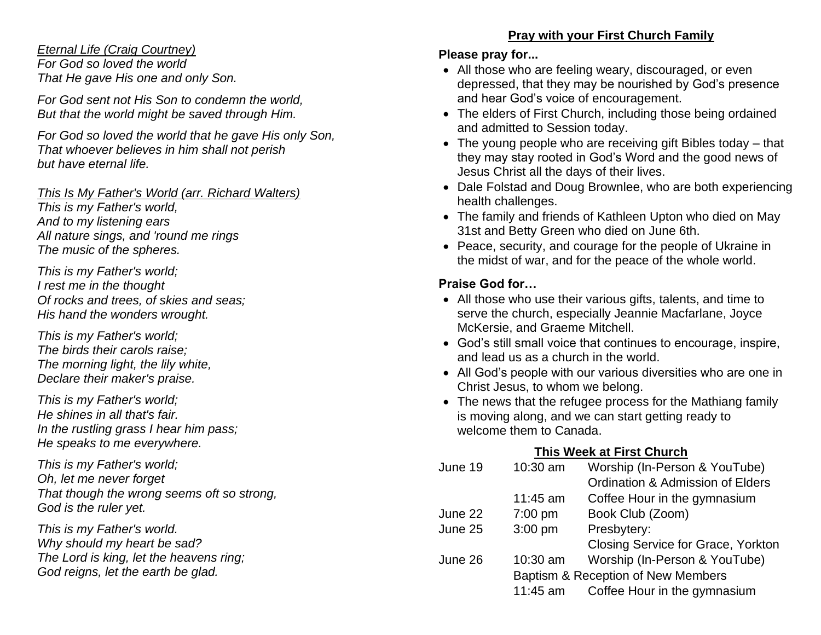## *Eternal Life (Craig Courtney)*

*For God so loved the world That He gave His one and only Son.* 

*For God sent not His Son to condemn the world, But that the world might be saved through Him.*

*For God so loved the world that he gave His only Son, That whoever believes in him shall not perish but have eternal life.*

*This Is My Father's World (arr. Richard Walters) This is my Father's world, And to my listening ears All nature sings, and 'round me rings The music of the spheres.*

*This is my Father's world; I rest me in the thought Of rocks and trees, of skies and seas; His hand the wonders wrought.*

*This is my Father's world; The birds their carols raise; The morning light, the lily white, Declare their maker's praise.*

*This is my Father's world; He shines in all that's fair. In the rustling grass I hear him pass; He speaks to me everywhere.*

*This is my Father's world; Oh, let me never forget That though the wrong seems oft so strong, God is the ruler yet.*

*This is my Father's world. Why should my heart be sad? The Lord is king, let the heavens ring; God reigns, let the earth be glad.*

# **Pray with your First Church Family**

### **Please pray for...**

- All those who are feeling weary, discouraged, or even depressed, that they may be nourished by God's presence and hear God's voice of encouragement.
- The elders of First Church, including those being ordained and admitted to Session today.
- The young people who are receiving gift Bibles today that they may stay rooted in God's Word and the good news of Jesus Christ all the days of their lives.
- Dale Folstad and Doug Brownlee, who are both experiencing health challenges.
- The family and friends of Kathleen Upton who died on May 31st and Betty Green who died on June 6th.
- Peace, security, and courage for the people of Ukraine in the midst of war, and for the peace of the whole world.

# **Praise God for…**

- All those who use their various gifts, talents, and time to serve the church, especially Jeannie Macfarlane, Joyce McKersie, and Graeme Mitchell.
- God's still small voice that continues to encourage, inspire, and lead us as a church in the world.
- All God's people with our various diversities who are one in Christ Jesus, to whom we belong.
- The news that the refugee process for the Mathiang family is moving along, and we can start getting ready to welcome them to Canada.

# **This Week at First Church**

| June 19 | 10:30 am                           | Worship (In-Person & YouTube)               |
|---------|------------------------------------|---------------------------------------------|
|         |                                    | <b>Ordination &amp; Admission of Elders</b> |
|         | $11:45$ am                         | Coffee Hour in the gymnasium                |
| June 22 | $7:00$ pm                          | Book Club (Zoom)                            |
| June 25 | $3:00$ pm                          | Presbytery:                                 |
|         |                                    | Closing Service for Grace, Yorkton          |
| June 26 | 10:30 am                           | Worship (In-Person & YouTube)               |
|         | Baptism & Reception of New Members |                                             |
|         | 11:45 am                           | Coffee Hour in the gymnasium                |